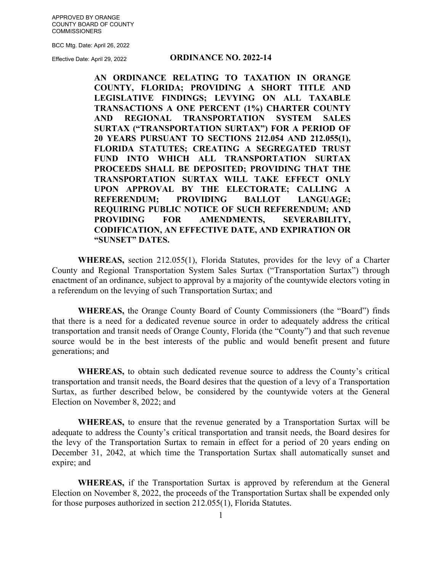APPROVED BY ORANGE COUNTY BOARD OF COUNTY **COMMISSIONERS** 

BCC Mtg. Date: April 26, 2022

Effective Date: April 29, 2022

#### **ORDINANCE NO. 2022-14**

**AN ORDINANCE RELATING TO TAXATION IN ORANGE COUNTY, FLORIDA; PROVIDING A SHORT TITLE AND LEGISLATIVE FINDINGS; LEVYING ON ALL TAXABLE TRANSACTIONS A ONE PERCENT (1%) CHARTER COUNTY AND REGIONAL TRANSPORTATION SYSTEM SALES SURTAX ("TRANSPORTATION SURTAX") FOR A PERIOD OF 20 YEARS PURSUANT TO SECTIONS 212.054 AND 212.055(1), FLORIDA STATUTES; CREATING A SEGREGATED TRUST FUND INTO WHICH ALL TRANSPORTATION SURTAX PROCEEDS SHALL BE DEPOSITED; PROVIDING THAT THE TRANSPORTATION SURTAX WILL TAKE EFFECT ONLY UPON APPROVAL BY THE ELECTORATE; CALLING A REFERENDUM; PROVIDING BALLOT LANGUAGE; REQUIRING PUBLIC NOTICE OF SUCH REFERENDUM; AND PROVIDING FOR AMENDMENTS, SEVERABILITY, CODIFICATION, AN EFFECTIVE DATE, AND EXPIRATION OR "SUNSET" DATES.** 

**WHEREAS,** section 212.055(1), Florida Statutes, provides for the levy of a Charter County and Regional Transportation System Sales Surtax ("Transportation Surtax") through enactment of an ordinance, subject to approval by a majority of the countywide electors voting in a referendum on the levying of such Transportation Surtax; and

**WHEREAS,** the Orange County Board of County Commissioners (the "Board") finds that there is a need for a dedicated revenue source in order to adequately address the critical transportation and transit needs of Orange County, Florida (the "County") and that such revenue source would be in the best interests of the public and would benefit present and future generations; and

**WHEREAS,** to obtain such dedicated revenue source to address the County's critical transportation and transit needs, the Board desires that the question of a levy of a Transportation Surtax, as further described below, be considered by the countywide voters at the General Election on November 8, 2022; and

**WHEREAS,** to ensure that the revenue generated by a Transportation Surtax will be adequate to address the County's critical transportation and transit needs, the Board desires for the levy of the Transportation Surtax to remain in effect for a period of 20 years ending on December 31, 2042, at which time the Transportation Surtax shall automatically sunset and expire; and

**WHEREAS,** if the Transportation Surtax is approved by referendum at the General Election on November 8, 2022, the proceeds of the Transportation Surtax shall be expended only for those purposes authorized in section 212.055(1), Florida Statutes.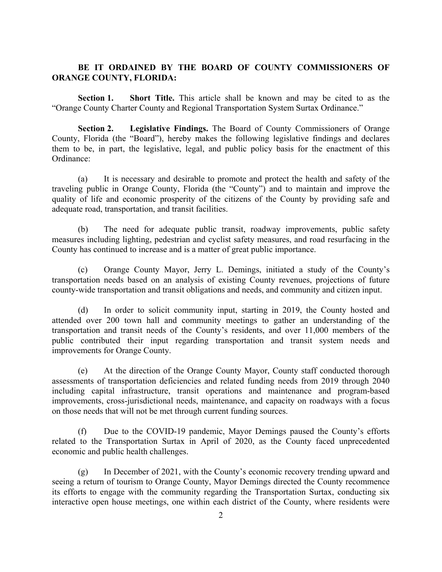# **BE IT ORDAINED BY THE BOARD OF COUNTY COMMISSIONERS OF ORANGE COUNTY, FLORIDA:**

 **Section 1. Short Title.** This article shall be known and may be cited to as the "Orange County Charter County and Regional Transportation System Surtax Ordinance."

 **Section 2. Legislative Findings.** The Board of County Commissioners of Orange County, Florida (the "Board"), hereby makes the following legislative findings and declares them to be, in part, the legislative, legal, and public policy basis for the enactment of this Ordinance:

(a) It is necessary and desirable to promote and protect the health and safety of the traveling public in Orange County, Florida (the "County") and to maintain and improve the quality of life and economic prosperity of the citizens of the County by providing safe and adequate road, transportation, and transit facilities.

(b) The need for adequate public transit, roadway improvements, public safety measures including lighting, pedestrian and cyclist safety measures, and road resurfacing in the County has continued to increase and is a matter of great public importance.

(c) Orange County Mayor, Jerry L. Demings, initiated a study of the County's transportation needs based on an analysis of existing County revenues, projections of future county-wide transportation and transit obligations and needs, and community and citizen input.

(d) In order to solicit community input, starting in 2019, the County hosted and attended over 200 town hall and community meetings to gather an understanding of the transportation and transit needs of the County's residents, and over 11,000 members of the public contributed their input regarding transportation and transit system needs and improvements for Orange County.

(e) At the direction of the Orange County Mayor, County staff conducted thorough assessments of transportation deficiencies and related funding needs from 2019 through 2040 including capital infrastructure, transit operations and maintenance and program-based improvements, cross-jurisdictional needs, maintenance, and capacity on roadways with a focus on those needs that will not be met through current funding sources.

(f) Due to the COVID-19 pandemic, Mayor Demings paused the County's efforts related to the Transportation Surtax in April of 2020, as the County faced unprecedented economic and public health challenges.

(g) In December of 2021, with the County's economic recovery trending upward and seeing a return of tourism to Orange County, Mayor Demings directed the County recommence its efforts to engage with the community regarding the Transportation Surtax, conducting six interactive open house meetings, one within each district of the County, where residents were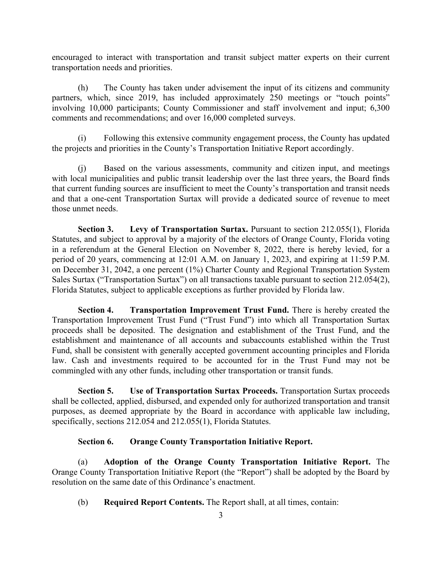encouraged to interact with transportation and transit subject matter experts on their current transportation needs and priorities.

(h) The County has taken under advisement the input of its citizens and community partners, which, since 2019, has included approximately 250 meetings or "touch points" involving 10,000 participants; County Commissioner and staff involvement and input; 6,300 comments and recommendations; and over 16,000 completed surveys.

(i) Following this extensive community engagement process, the County has updated the projects and priorities in the County's Transportation Initiative Report accordingly.

(j) Based on the various assessments, community and citizen input, and meetings with local municipalities and public transit leadership over the last three years, the Board finds that current funding sources are insufficient to meet the County's transportation and transit needs and that a one-cent Transportation Surtax will provide a dedicated source of revenue to meet those unmet needs.

**Section 3.** Levy of Transportation Surtax. Pursuant to section 212.055(1), Florida Statutes, and subject to approval by a majority of the electors of Orange County, Florida voting in a referendum at the General Election on November 8, 2022, there is hereby levied, for a period of 20 years, commencing at 12:01 A.M. on January 1, 2023, and expiring at 11:59 P.M. on December 31, 2042, a one percent (1%) Charter County and Regional Transportation System Sales Surtax ("Transportation Surtax") on all transactions taxable pursuant to section 212.054(2), Florida Statutes, subject to applicable exceptions as further provided by Florida law.

**Section 4.** Transportation Improvement Trust Fund. There is hereby created the Transportation Improvement Trust Fund ("Trust Fund") into which all Transportation Surtax proceeds shall be deposited. The designation and establishment of the Trust Fund, and the establishment and maintenance of all accounts and subaccounts established within the Trust Fund, shall be consistent with generally accepted government accounting principles and Florida law. Cash and investments required to be accounted for in the Trust Fund may not be commingled with any other funds, including other transportation or transit funds.

**Section 5. Use of Transportation Surtax Proceeds.** Transportation Surtax proceeds shall be collected, applied, disbursed, and expended only for authorized transportation and transit purposes, as deemed appropriate by the Board in accordance with applicable law including, specifically, sections 212.054 and 212.055(1), Florida Statutes.

## **Section 6. Orange County Transportation Initiative Report.**

(a) **Adoption of the Orange County Transportation Initiative Report.** The Orange County Transportation Initiative Report (the "Report") shall be adopted by the Board by resolution on the same date of this Ordinance's enactment.

(b) **Required Report Contents.** The Report shall, at all times, contain: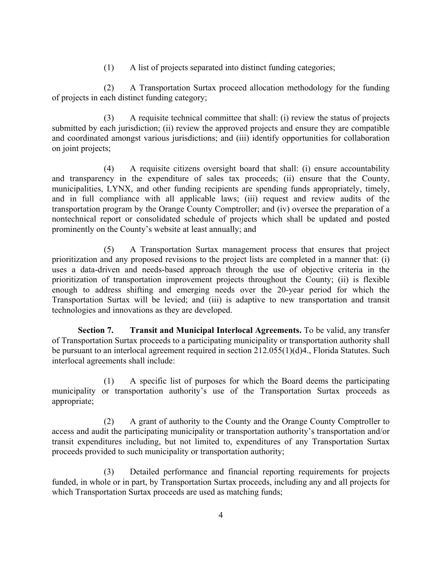(1) A list of projects separated into distinct funding categories;

(2) A Transportation Surtax proceed allocation methodology for the funding of projects in each distinct funding category;

(3) A requisite technical committee that shall: (i) review the status of projects submitted by each jurisdiction; (ii) review the approved projects and ensure they are compatible and coordinated amongst various jurisdictions; and (iii) identify opportunities for collaboration on joint projects;

(4) A requisite citizens oversight board that shall: (i) ensure accountability and transparency in the expenditure of sales tax proceeds; (ii) ensure that the County, municipalities, LYNX, and other funding recipients are spending funds appropriately, timely, and in full compliance with all applicable laws; (iii) request and review audits of the transportation program by the Orange County Comptroller; and (iv) oversee the preparation of a nontechnical report or consolidated schedule of projects which shall be updated and posted prominently on the County's website at least annually; and

(5) A Transportation Surtax management process that ensures that project prioritization and any proposed revisions to the project lists are completed in a manner that: (i) uses a data-driven and needs-based approach through the use of objective criteria in the prioritization of transportation improvement projects throughout the County; (ii) is flexible enough to address shifting and emerging needs over the 20-year period for which the Transportation Surtax will be levied; and (iii) is adaptive to new transportation and transit technologies and innovations as they are developed.

 **Section 7. Transit and Municipal Interlocal Agreements.** To be valid, any transfer of Transportation Surtax proceeds to a participating municipality or transportation authority shall be pursuant to an interlocal agreement required in section 212.055(1)(d)4., Florida Statutes. Such interlocal agreements shall include:

(1) A specific list of purposes for which the Board deems the participating municipality or transportation authority's use of the Transportation Surtax proceeds as appropriate;

(2) A grant of authority to the County and the Orange County Comptroller to access and audit the participating municipality or transportation authority's transportation and/or transit expenditures including, but not limited to, expenditures of any Transportation Surtax proceeds provided to such municipality or transportation authority;

(3) Detailed performance and financial reporting requirements for projects funded, in whole or in part, by Transportation Surtax proceeds, including any and all projects for which Transportation Surtax proceeds are used as matching funds;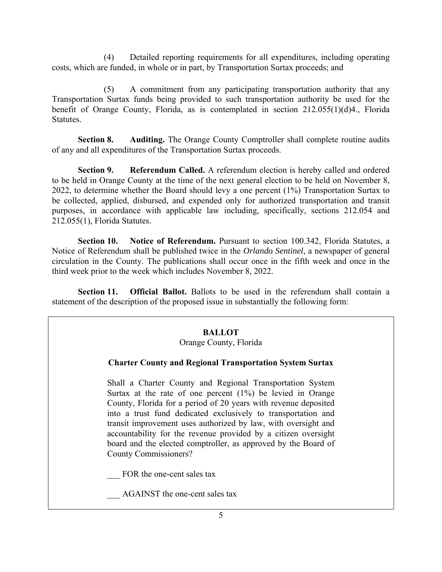(4) Detailed reporting requirements for all expenditures, including operating costs, which are funded, in whole or in part, by Transportation Surtax proceeds; and

(5) A commitment from any participating transportation authority that any Transportation Surtax funds being provided to such transportation authority be used for the benefit of Orange County, Florida, as is contemplated in section 212.055(1)(d)4., Florida Statutes.

**Section 8. Auditing.** The Orange County Comptroller shall complete routine audits of any and all expenditures of the Transportation Surtax proceeds.

**Section 9.** Referendum Called. A referendum election is hereby called and ordered to be held in Orange County at the time of the next general election to be held on November 8, 2022, to determine whether the Board should levy a one percent (1%) Transportation Surtax to be collected, applied, disbursed, and expended only for authorized transportation and transit purposes, in accordance with applicable law including, specifically, sections 212.054 and 212.055(1), Florida Statutes.

**Section 10. Notice of Referendum.** Pursuant to section 100.342, Florida Statutes, a Notice of Referendum shall be published twice in the *Orlando Sentinel*, a newspaper of general circulation in the County. The publications shall occur once in the fifth week and once in the third week prior to the week which includes November 8, 2022.

**Section 11. Official Ballot.** Ballots to be used in the referendum shall contain a statement of the description of the proposed issue in substantially the following form:

## **BALLOT**

#### Orange County, Florida

## **Charter County and Regional Transportation System Surtax**

Shall a Charter County and Regional Transportation System Surtax at the rate of one percent (1%) be levied in Orange County, Florida for a period of 20 years with revenue deposited into a trust fund dedicated exclusively to transportation and transit improvement uses authorized by law, with oversight and accountability for the revenue provided by a citizen oversight board and the elected comptroller, as approved by the Board of County Commissioners?

FOR the one-cent sales tax

AGAINST the one-cent sales tax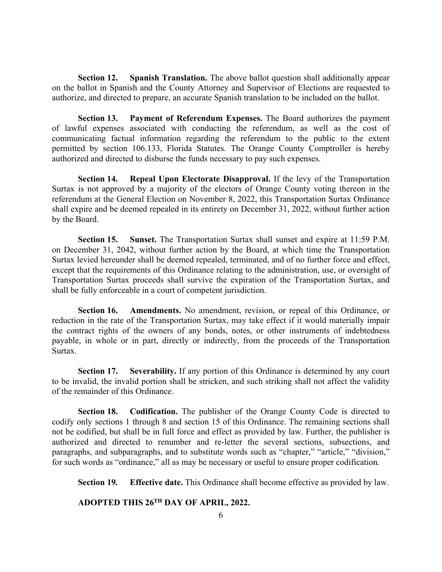**Section 12. Spanish Translation.** The above ballot question shall additionally appear on the ballot in Spanish and the County Attorney and Supervisor of Elections are requested to authorize, and directed to prepare, an accurate Spanish translation to be included on the ballot.

 **Section 13. Payment of Referendum Expenses.** The Board authorizes the payment of lawful expenses associated with conducting the referendum, as well as the cost of communicating factual information regarding the referendum to the public to the extent permitted by section 106.133, Florida Statutes. The Orange County Comptroller is hereby authorized and directed to disburse the funds necessary to pay such expenses.

**Section 14.** Repeal Upon Electorate Disapproval. If the levy of the Transportation Surtax is not approved by a majority of the electors of Orange County voting thereon in the referendum at the General Election on November 8, 2022, this Transportation Surtax Ordinance shall expire and be deemed repealed in its entirety on December 31, 2022, without further action by the Board.

**Section 15. Sunset.** The Transportation Surtax shall sunset and expire at 11:59 P.M. on December 31, 2042, without further action by the Board, at which time the Transportation Surtax levied hereunder shall be deemed repealed, terminated, and of no further force and effect, except that the requirements of this Ordinance relating to the administration, use, or oversight of Transportation Surtax proceeds shall survive the expiration of the Transportation Surtax, and shall be fully enforceable in a court of competent jurisdiction.

**Section 16. Amendments.** No amendment, revision, or repeal of this Ordinance, or reduction in the rate of the Transportation Surtax, may take effect if it would materially impair the contract rights of the owners of any bonds, notes, or other instruments of indebtedness payable, in whole or in part, directly or indirectly, from the proceeds of the Transportation Surtax.

**Section 17. Severability.** If any portion of this Ordinance is determined by any court to be invalid, the invalid portion shall be stricken, and such striking shall not affect the validity of the remainder of this Ordinance.

**Section 18. Codification.** The publisher of the Orange County Code is directed to codify only sections 1 through 8 and section 15 of this Ordinance. The remaining sections shall not be codified, but shall be in full force and effect as provided by law. Further, the publisher is authorized and directed to renumber and re-letter the several sections, subsections, and paragraphs, and subparagraphs, and to substitute words such as "chapter," "article," "division," for such words as "ordinance," all as may be necessary or useful to ensure proper codification.

**Section 19***.* **Effective date.** This Ordinance shall become effective as provided by law.

 **ADOPTED THIS 26TH DAY OF APRIL, 2022.**